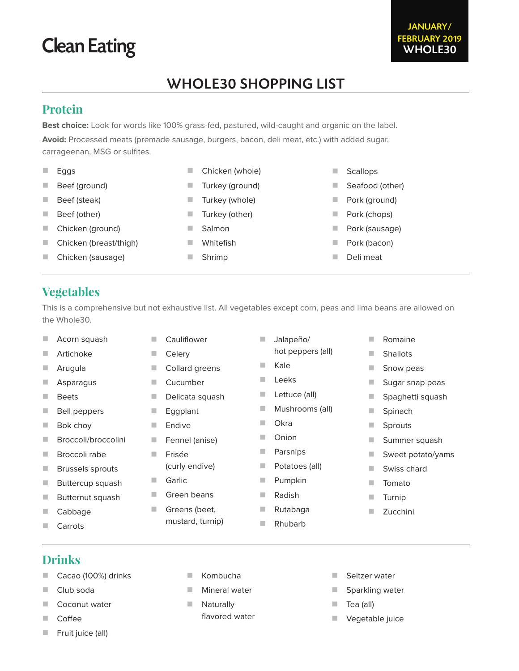# Clean Eating

## WHOLE30 SHOPPING LIST

#### **Protein**

**Best choice:** Look for words like 100% grass-fed, pastured, wild-caught and organic on the label. **Avoid:** Processed meats (premade sausage, burgers, bacon, deli meat, etc.) with added sugar, carrageenan, MSG or sulfites.

|   | Eggs                   | Chicken (whole) |   | <b>Scallops</b> |
|---|------------------------|-----------------|---|-----------------|
| ۰ | Beef (ground)          | Turkey (ground) |   | Seafood (other) |
| ٠ | Beef (steak)           | Turkey (whole)  |   | Pork (ground)   |
|   | Beef (other)           | Turkey (other)  | ٠ | Pork (chops)    |
| ٠ | Chicken (ground)       | Salmon          | ٠ | Pork (sausage)  |
|   | Chicken (breast/thigh) | Whitefish       | ٠ | Pork (bacon)    |
|   |                        |                 |   |                 |

- Chicken (sausage)
- Shrimp

Scallops

Deli meat

#### **Vegetables**

This is a comprehensive but not exhaustive list. All vegetables except corn, peas and lima beans are allowed on the Whole30.

**Jalapeño/** 

hot peppers (all)

- Acorn squash
- **Artichoke**
- **Arugula**
- **Asparagus**
- **Beets**
- **Bell peppers**
- **Bok choy**
- **Broccoli/broccolini**
- **Broccoli rabe**
- **Brussels sprouts**
- **Buttercup squash**
- **Butternut squash**
- **Cabbage**
- **Carrots**
- Celery Collard greens
	- Cucumber

**Cauliflower** 

- **Delicata squash**
- **Eggplant**
- **Endive**
- Fennel (anise) **Frisée**
- (curly endive)
- Garlic
- Green beans
- Greens (beet, mustard, turnip)
- **Kale Leeks** Lettuce (all) **Mushrooms (all) Okra Dec** Onion **Parsnips Potatoes (all) Pumpkin** Radish **Rutabaga** Rhubarb  $\blacksquare$  Turnip
- **Romaine** Shallots **Snow peas** Sugar snap peas Spaghetti squash ■ Spinach **Sprouts Summer squash** Sweet potato/yams Swiss chard **Tomato** 
	- **Zucchini**

- **Drinks**
- Cacao (100%) drinks
- Club soda
- **Coconut water**
- Coffee
- Fruit juice (all)
- Kombucha
- **Mineral water**
- **Naturally** flavored water
- Seltzer water
- Sparkling water
- Tea (all)
- **Vegetable juice**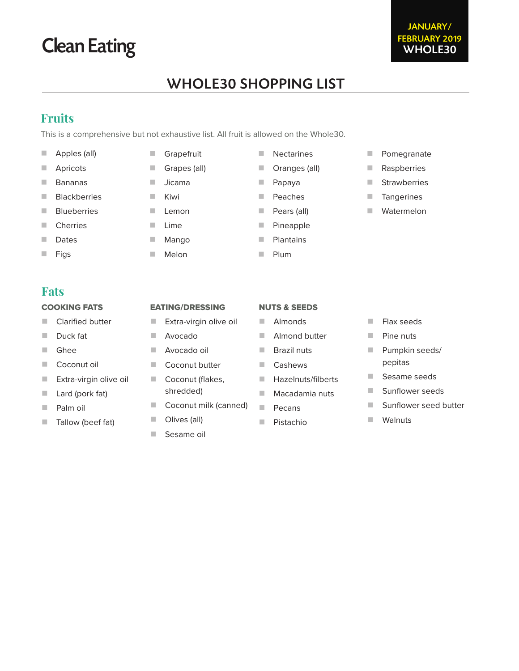## WHOLE30 SHOPPING LIST

#### **Fruits**

This is a comprehensive but not exhaustive list. All fruit is allowed on the Whole30.

- **Apples (all)**
- **Apricots**
- Bananas
- **Blackberries**
- **Blueberries**

COOKING FATS **Clarified butter** 

Duck fat Ghee

Coconut oil

**Lard (pork fat)** 

**Palm oil** 

**Extra-virgin olive oil** 

- **Cherries**
- Dates
- $\blacksquare$  Figs

**Fats**

- Grapefruit
- 
- **Jicama**
- 
- 
- 
- 
- -
	-
	- **Almonds**
	- **Almond butter**
	-
	- **Cashews**
	- **Hazelnuts/filberts**
	- **Macadamia nuts**
	- **Pecans**
	- **Pistachio**
- **Flax seeds** 
	- **Pine nuts** 
		- **Pumpkin seeds/** pepitas

**Pomegranate Raspberries Strawberries Tangerines Watermelon** 

- Sesame seeds
- Sunflower seeds
- Sunflower seed butter
- **Walnuts**

#### EATING/DRESSING

- **Extra-virgin olive oil**
- Avocado
- Avocado oil
- Coconut butter
- Coconut (flakes, shredded)
- Coconut milk (canned)
- **Tallow (beef fat)**
- 
- **Olives (all)**
- Sesame oil

# Clean Eating



- 
- $\blacksquare$  Lime
- -
- **Papaya**
- **Peaches** 
	- **Pears (all)**

**Nectarines** 

- 
- 
- - - **Plum**
- 
- 
- -
	-
- 
- **Melon**
- Grapes (all)
- **Kiwi**
- **Lemon** 
	- - **Mango**
- - -
- - -
- **Pineapple** 
	-
	-
- 
- **Dranges (all)** 
	- - - **Plantains** 
				- -
				- -
				-
			- NUTS & SEEDS
	- - - **Brazil nuts**